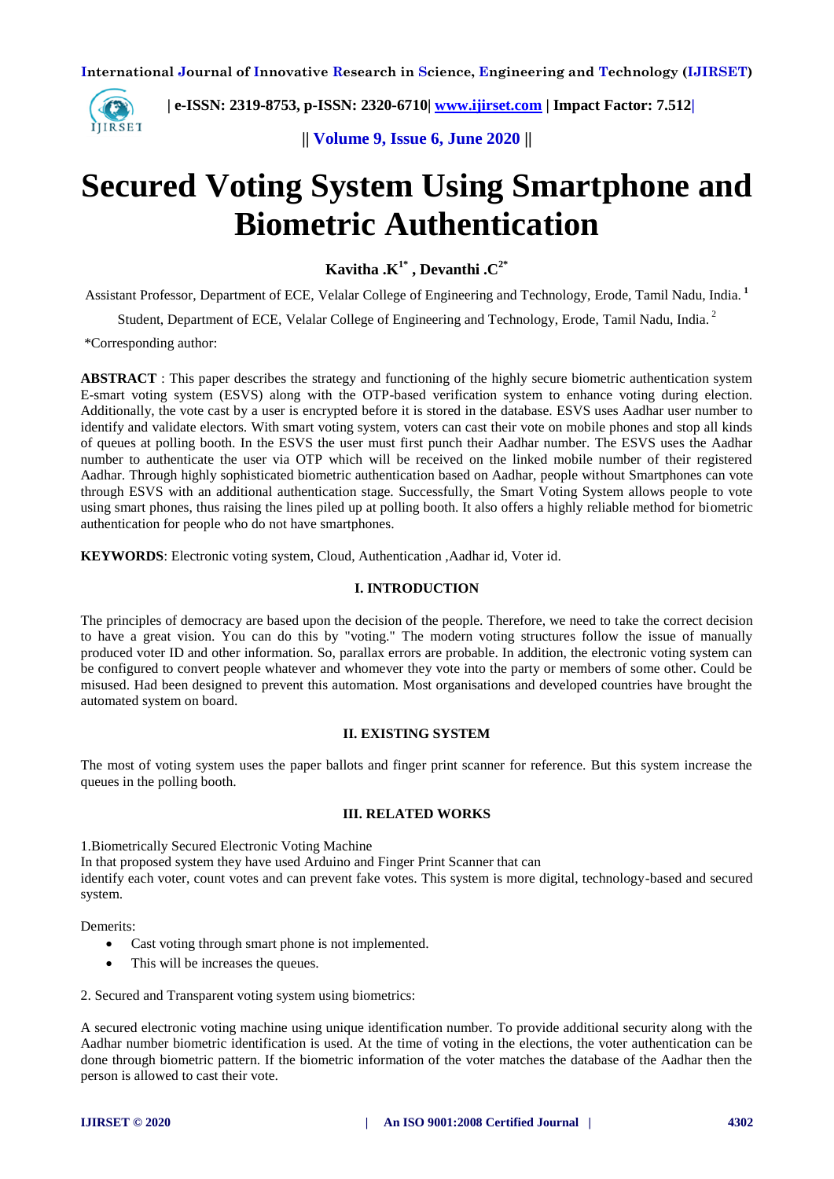

 **| e-ISSN: 2319-8753, p-ISSN: 2320-6710| [www.ijirset.com](http://www.ijirset.com/) | Impact Factor: 7.512|**

**|| Volume 9, Issue 6, June 2020 ||** 

# **Secured Voting System Using Smartphone and Biometric Authentication**

**Kavitha .K1\* , Devanthi .C2\***

Assistant Professor, Department of ECE, Velalar College of Engineering and Technology, Erode, Tamil Nadu, India. **<sup>1</sup>**

Student, Department of ECE, Velalar College of Engineering and Technology. Erode. Tamil Nadu. India.<sup>2</sup>

\*Corresponding author:

**ABSTRACT** : This paper describes the strategy and functioning of the highly secure biometric authentication system E-smart voting system (ESVS) along with the OTP-based verification system to enhance voting during election. Additionally, the vote cast by a user is encrypted before it is stored in the database. ESVS uses Aadhar user number to identify and validate electors. With smart voting system, voters can cast their vote on mobile phones and stop all kinds of queues at polling booth. In the ESVS the user must first punch their Aadhar number. The ESVS uses the Aadhar number to authenticate the user via OTP which will be received on the linked mobile number of their registered Aadhar. Through highly sophisticated biometric authentication based on Aadhar, people without Smartphones can vote through ESVS with an additional authentication stage. Successfully, the Smart Voting System allows people to vote using smart phones, thus raising the lines piled up at polling booth. It also offers a highly reliable method for biometric authentication for people who do not have smartphones.

**KEYWORDS**: Electronic voting system, Cloud, Authentication ,Aadhar id, Voter id.

## **I. INTRODUCTION**

The principles of democracy are based upon the decision of the people. Therefore, we need to take the correct decision to have a great vision. You can do this by "voting." The modern voting structures follow the issue of manually produced voter ID and other information. So, parallax errors are probable. In addition, the electronic voting system can be configured to convert people whatever and whomever they vote into the party or members of some other. Could be misused. Had been designed to prevent this automation. Most organisations and developed countries have brought the automated system on board.

# **II. EXISTING SYSTEM**

The most of voting system uses the paper ballots and finger print scanner for reference. But this system increase the queues in the polling booth.

# **III. RELATED WORKS**

1.Biometrically Secured Electronic Voting Machine

In that proposed system they have used Arduino and Finger Print Scanner that can identify each voter, count votes and can prevent fake votes. This system is more digital, technology-based and secured system.

Demerits:

- Cast voting through smart phone is not implemented.
- This will be increases the queues.

2. Secured and Transparent voting system using biometrics:

A secured electronic voting machine using unique identification number. To provide additional security along with the Aadhar number biometric identification is used. At the time of voting in the elections, the voter authentication can be done through biometric pattern. If the biometric information of the voter matches the database of the Aadhar then the person is allowed to cast their vote.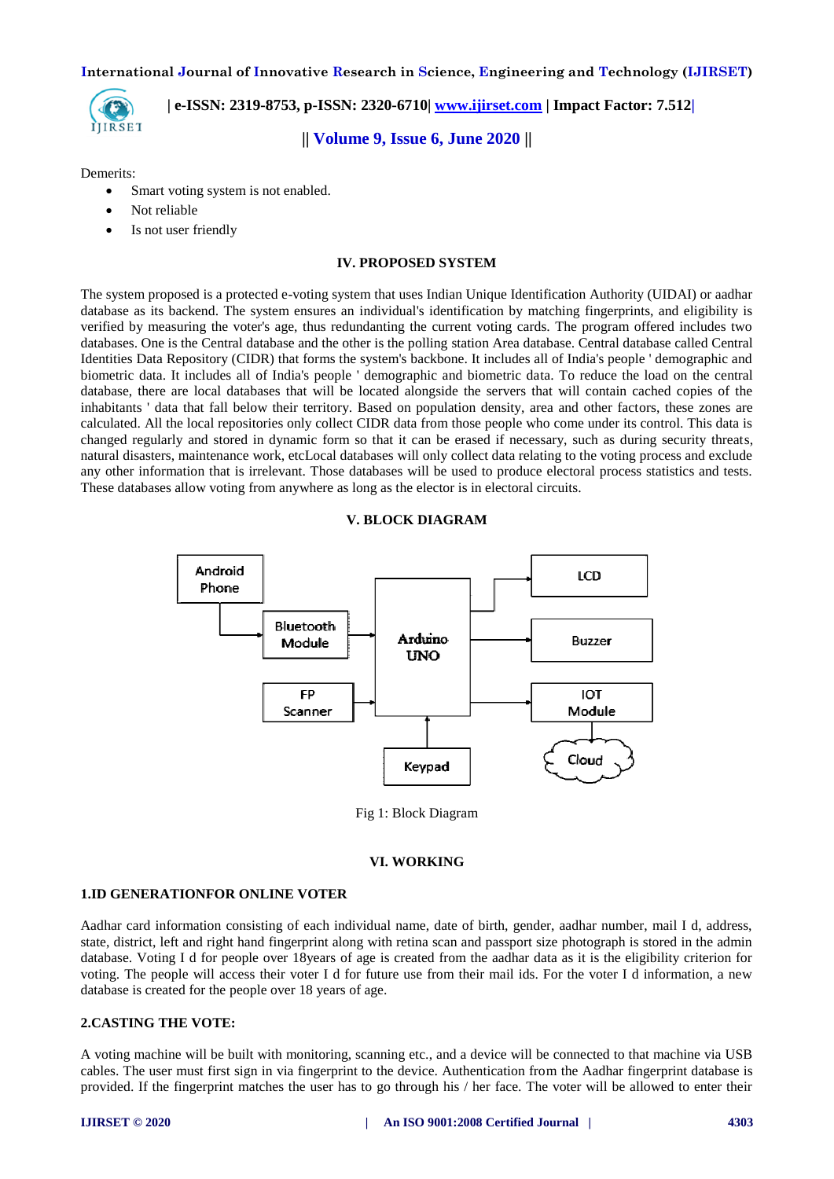

 **| e-ISSN: 2319-8753, p-ISSN: 2320-6710| [www.ijirset.com](http://www.ijirset.com/) | Impact Factor: 7.512|**

**|| Volume 9, Issue 6, June 2020 ||** 

Demerits:

- Smart voting system is not enabled.
- Not reliable
- Is not user friendly

#### **IV. PROPOSED SYSTEM**

The system proposed is a protected e-voting system that uses Indian Unique Identification Authority (UIDAI) or aadhar database as its backend. The system ensures an individual's identification by matching fingerprints, and eligibility is verified by measuring the voter's age, thus redundanting the current voting cards. The program offered includes two databases. One is the Central database and the other is the polling station Area database. Central database called Central Identities Data Repository (CIDR) that forms the system's backbone. It includes all of India's people ' demographic and biometric data. It includes all of India's people ' demographic and biometric data. To reduce the load on the central database, there are local databases that will be located alongside the servers that will contain cached copies of the inhabitants ' data that fall below their territory. Based on population density, area and other factors, these zones are calculated. All the local repositories only collect CIDR data from those people who come under its control. This data is changed regularly and stored in dynamic form so that it can be erased if necessary, such as during security threats, natural disasters, maintenance work, etcLocal databases will only collect data relating to the voting process and exclude any other information that is irrelevant. Those databases will be used to produce electoral process statistics and tests. These databases allow voting from anywhere as long as the elector is in electoral circuits.

## **V. BLOCK DIAGRAM**



Fig 1: Block Diagram

#### **VI. WORKING**

#### **1.ID GENERATIONFOR ONLINE VOTER**

Aadhar card information consisting of each individual name, date of birth, gender, aadhar number, mail I d, address, state, district, left and right hand fingerprint along with retina scan and passport size photograph is stored in the admin database. Voting I d for people over 18years of age is created from the aadhar data as it is the eligibility criterion for voting. The people will access their voter I d for future use from their mail ids. For the voter I d information, a new database is created for the people over 18 years of age.

## **2.CASTING THE VOTE:**

A voting machine will be built with monitoring, scanning etc., and a device will be connected to that machine via USB cables. The user must first sign in via fingerprint to the device. Authentication from the Aadhar fingerprint database is provided. If the fingerprint matches the user has to go through his / her face. The voter will be allowed to enter their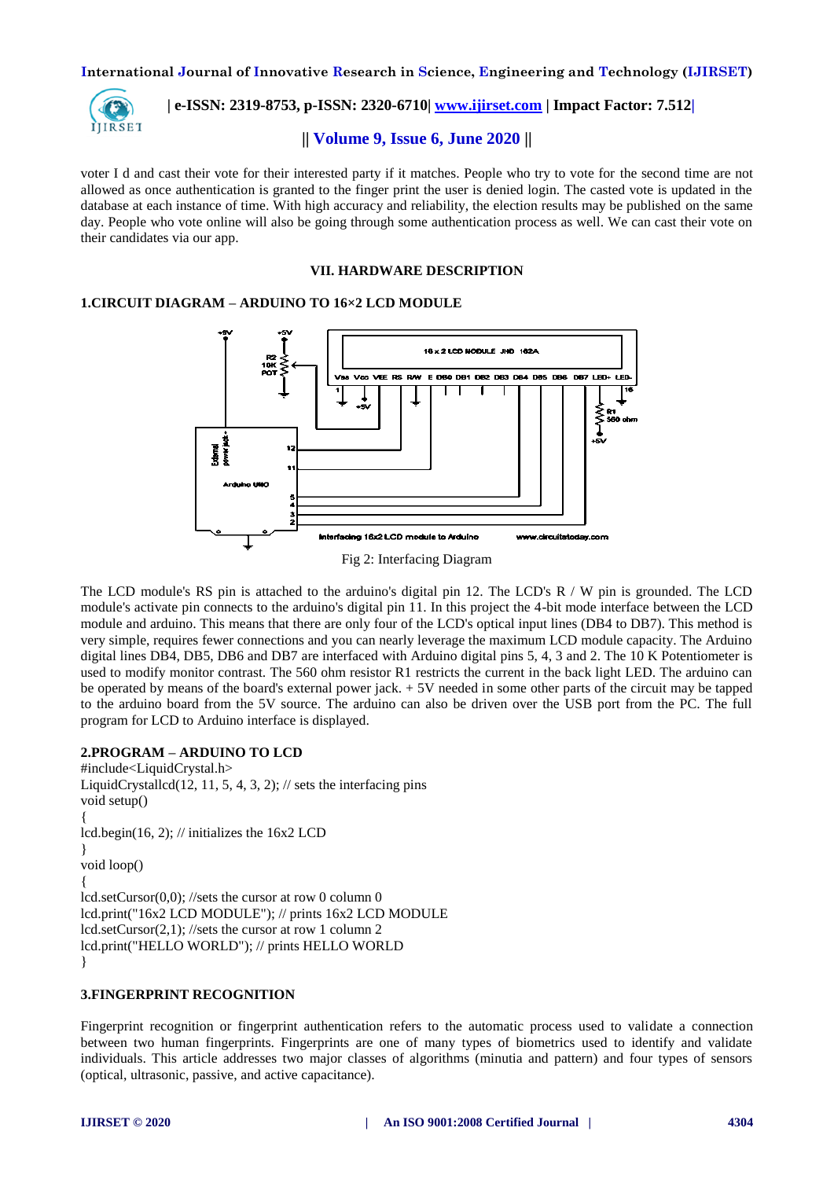

 **| e-ISSN: 2319-8753, p-ISSN: 2320-6710| [www.ijirset.com](http://www.ijirset.com/) | Impact Factor: 7.512|**

# **|| Volume 9, Issue 6, June 2020 ||**

voter I d and cast their vote for their interested party if it matches. People who try to vote for the second time are not allowed as once authentication is granted to the finger print the user is denied login. The casted vote is updated in the database at each instance of time. With high accuracy and reliability, the election results may be published on the same day. People who vote online will also be going through some authentication process as well. We can cast their vote on their candidates via our app.

#### **VII. HARDWARE DESCRIPTION**

# **1.CIRCUIT DIAGRAM – ARDUINO TO 16×2 LCD MODULE**



The LCD module's RS pin is attached to the arduino's digital pin 12. The LCD's R / W pin is grounded. The LCD module's activate pin connects to the arduino's digital pin 11. In this project the 4-bit mode interface between the LCD module and arduino. This means that there are only four of the LCD's optical input lines (DB4 to DB7). This method is very simple, requires fewer connections and you can nearly leverage the maximum LCD module capacity. The Arduino digital lines DB4, DB5, DB6 and DB7 are interfaced with Arduino digital pins 5, 4, 3 and 2. The 10 K Potentiometer is used to modify monitor contrast. The 560 ohm resistor R1 restricts the current in the back light LED. The arduino can be operated by means of the board's external power jack. + 5V needed in some other parts of the circuit may be tapped to the arduino board from the 5V source. The arduino can also be driven over the USB port from the PC. The full program for LCD to Arduino interface is displayed.

# **2.PROGRAM – ARDUINO TO LCD**

#include<LiquidCrystal.h> LiquidCrystallcd(12, 11, 5, 4, 3, 2);  $\frac{1}{1}$  sets the interfacing pins void setup() { lcd.begin(16, 2); // initializes the 16x2 LCD } void loop() { lcd.setCursor(0,0); //sets the cursor at row 0 column 0 lcd.print("16x2 LCD MODULE"); // prints 16x2 LCD MODULE lcd.setCursor(2,1); //sets the cursor at row 1 column 2 lcd.print("HELLO WORLD"); // prints HELLO WORLD }

# **3.FINGERPRINT RECOGNITION**

Fingerprint recognition or fingerprint authentication refers to the automatic process used to validate a connection between two human fingerprints. Fingerprints are one of many types of biometrics used to identify and validate individuals. This article addresses two major classes of algorithms (minutia and pattern) and four types of sensors (optical, ultrasonic, passive, and active capacitance).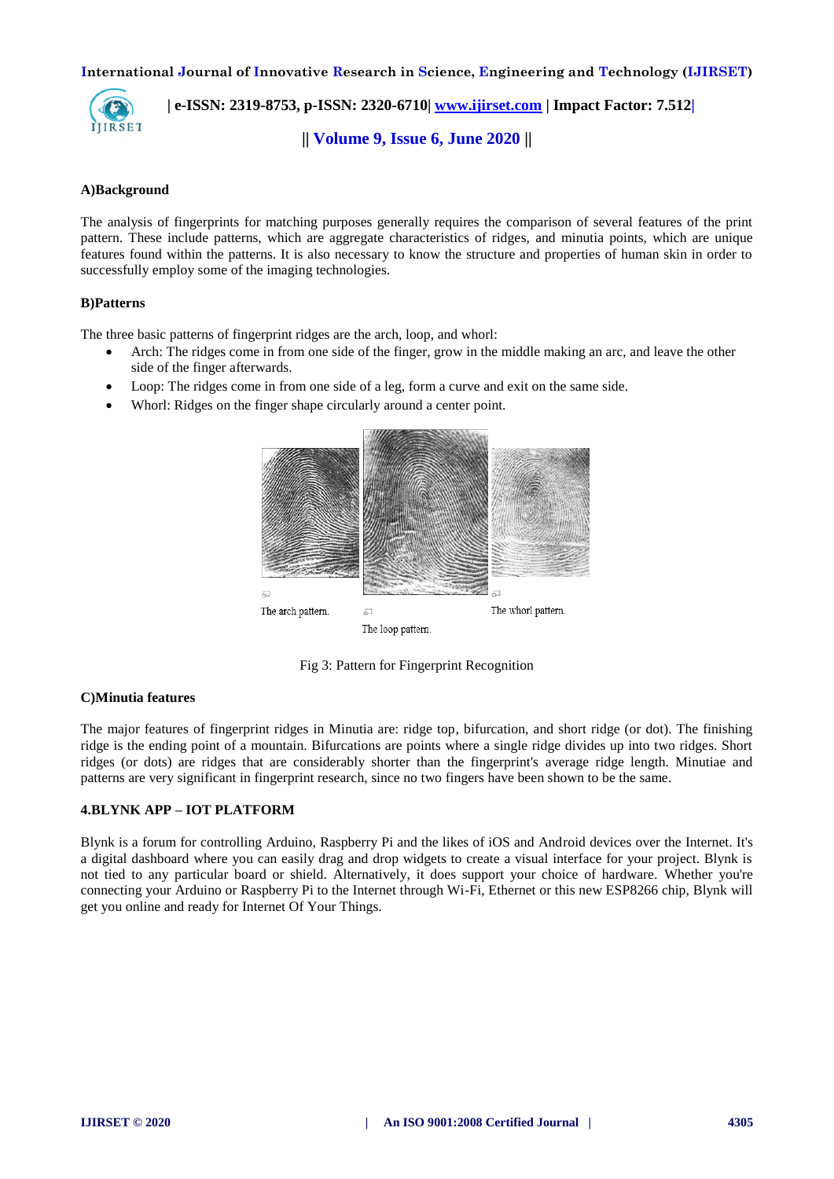

 **| e-ISSN: 2319-8753, p-ISSN: 2320-6710| [www.ijirset.com](http://www.ijirset.com/) | Impact Factor: 7.512|**

**|| Volume 9, Issue 6, June 2020 ||** 

## **A)Background**

The analysis of fingerprints for matching purposes generally requires the comparison of several features of the print pattern. These include patterns, which are aggregate characteristics of ridges, and minutia points, which are unique features found within the patterns. It is also necessary to know the structure and properties of human skin in order to successfully employ some of the imaging technologies.

## **B)Patterns**

The three basic patterns of fingerprint ridges are the arch, loop, and whorl:

- Arch: The ridges come in from one side of the finger, grow in the middle making an arc, and leave the other side of the finger afterwards.
- Loop: The ridges come in from one side of a leg, form a curve and exit on the same side.
- Whorl: Ridges on the finger shape circularly around a center point.



Fig 3: Pattern for Fingerprint Recognition

#### **C)Minutia features**

The major features of fingerprint ridges in Minutia are: ridge top, bifurcation, and short ridge (or dot). The finishing ridge is the ending point of a mountain. Bifurcations are points where a single ridge divides up into two ridges. Short ridges (or dots) are ridges that are considerably shorter than the fingerprint's average ridge length. Minutiae and patterns are very significant in fingerprint research, since no two fingers have been shown to be the same.

# **4.BLYNK APP – IOT PLATFORM**

Blynk is a forum for controlling Arduino, Raspberry Pi and the likes of iOS and Android devices over the Internet. It's a digital dashboard where you can easily drag and drop widgets to create a visual interface for your project. Blynk is not tied to any particular board or shield. Alternatively, it does support your choice of hardware. Whether you're connecting your Arduino or Raspberry Pi to the Internet through Wi-Fi, Ethernet or this new ESP8266 chip, Blynk will get you online and ready for Internet Of Your Things.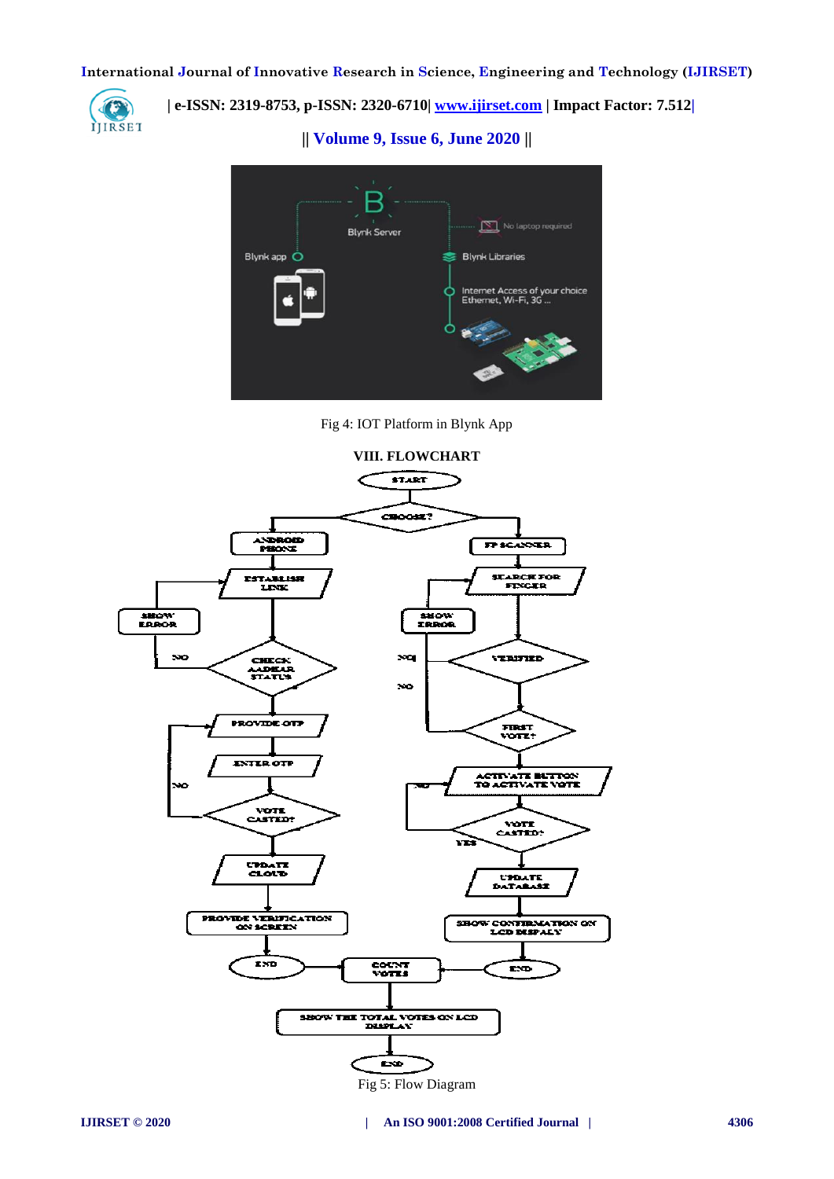

 **| e-ISSN: 2319-8753, p-ISSN: 2320-6710| www.ijirset.com** | Impact Factor: 7.512|

**|| Volume 9, Issue 6, June 2020 ||** 



Fig 4: IOT Platform in Blynk App



Fig 5: Flow Diagram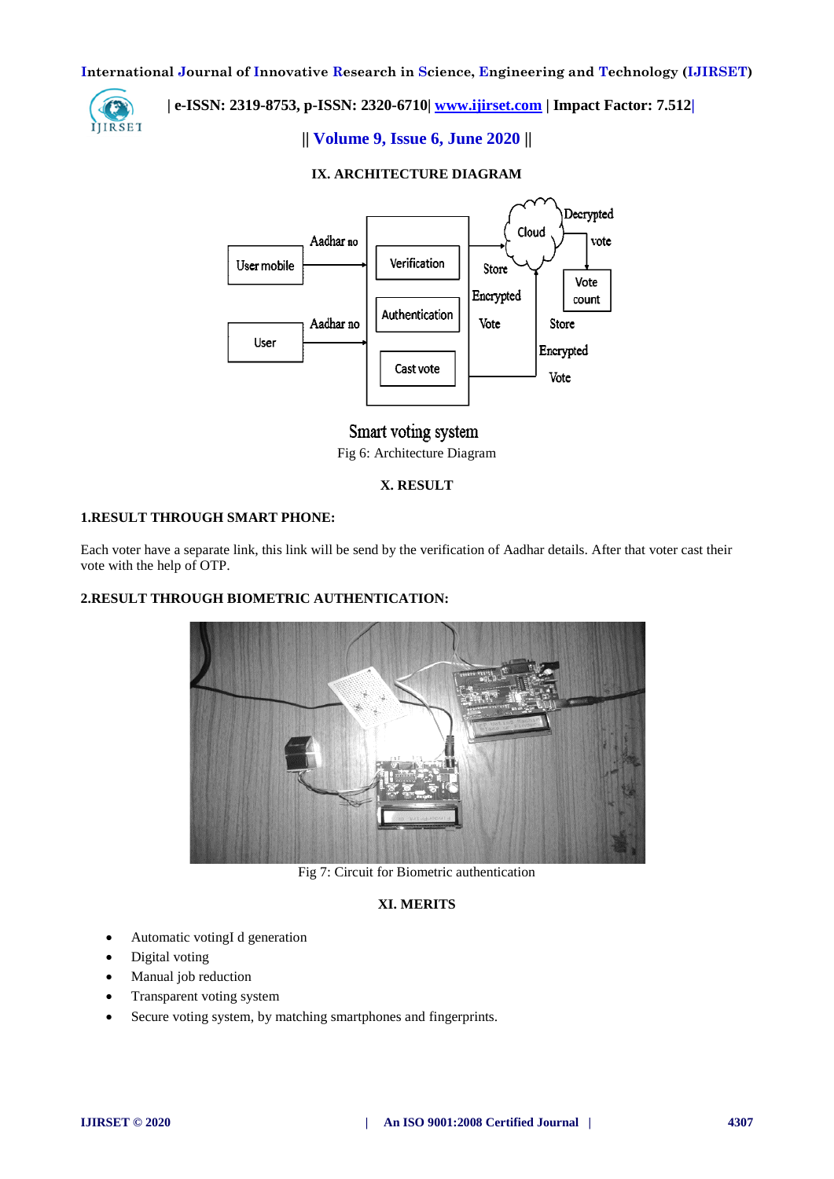

# **| e-ISSN: 2319-8753, p-ISSN: 2320-6710| [www.ijirset.com](http://www.ijirset.com/) | Impact Factor: 7.512|**

# **|| Volume 9, Issue 6, June 2020 ||**

# **IX. ARCHITECTURE DIAGRAM**



# Smart voting system Fig 6: Architecture Diagram

# **X. RESULT**

# **1.RESULT THROUGH SMART PHONE:**

Each voter have a separate link, this link will be send by the verification of Aadhar details. After that voter cast their vote with the help of OTP.

# **2.RESULT THROUGH BIOMETRIC AUTHENTICATION:**



Fig 7: Circuit for Biometric authentication

# **XI. MERITS**

- Automatic votingI d generation
- Digital voting
- Manual job reduction
- Transparent voting system
- Secure voting system, by matching smartphones and fingerprints.